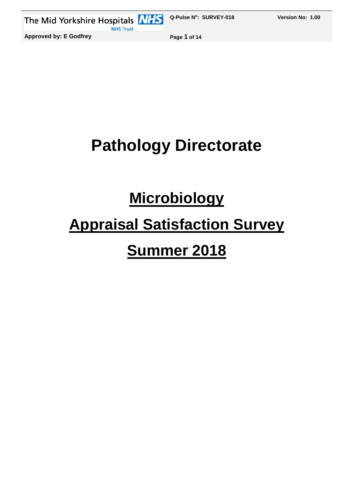

## **Pathology Directorate**

## **Microbiology**

# **Appraisal Satisfaction Survey**

### **Summer 2018**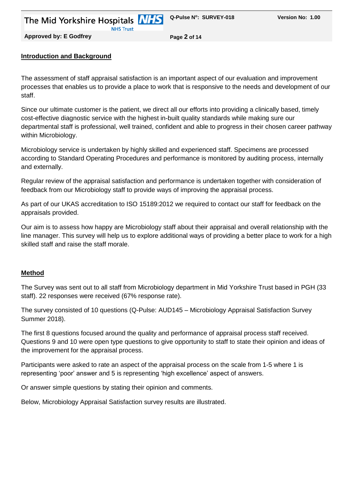**Approved by: E Godfrey Page 2 of 14**

#### **Introduction and Background**

The assessment of staff appraisal satisfaction is an important aspect of our evaluation and improvement processes that enables us to provide a place to work that is responsive to the needs and development of our staff.

Since our ultimate customer is the patient, we direct all our efforts into providing a clinically based, timely cost-effective diagnostic service with the highest in-built quality standards while making sure our departmental staff is professional, well trained, confident and able to progress in their chosen career pathway within Microbiology.

Microbiology service is undertaken by highly skilled and experienced staff. Specimens are processed according to Standard Operating Procedures and performance is monitored by auditing process, internally and externally.

Regular review of the appraisal satisfaction and performance is undertaken together with consideration of feedback from our Microbiology staff to provide ways of improving the appraisal process.

As part of our UKAS accreditation to ISO 15189:2012 we required to contact our staff for feedback on the appraisals provided.

Our aim is to assess how happy are Microbiology staff about their appraisal and overall relationship with the line manager. This survey will help us to explore additional ways of providing a better place to work for a high skilled staff and raise the staff morale.

#### **Method**

The Survey was sent out to all staff from Microbiology department in Mid Yorkshire Trust based in PGH (33 staff). 22 responses were received (67% response rate).

The survey consisted of 10 questions (Q-Pulse: AUD145 – Microbiology Appraisal Satisfaction Survey Summer 2018).

The first 8 questions focused around the quality and performance of appraisal process staff received. Questions 9 and 10 were open type questions to give opportunity to staff to state their opinion and ideas of the improvement for the appraisal process.

Participants were asked to rate an aspect of the appraisal process on the scale from 1-5 where 1 is representing 'poor' answer and 5 is representing 'high excellence' aspect of answers.

Or answer simple questions by stating their opinion and comments.

Below, Microbiology Appraisal Satisfaction survey results are illustrated.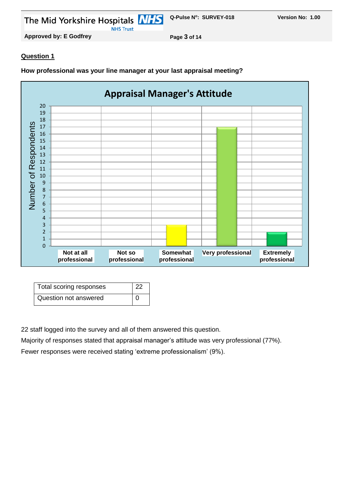The Mid Yorkshire Hospitals **NHS NHS Trust** 

**Approved by: E Godfrey Page 3 of 14**

#### **Question 1**

**How professional was your line manager at your last appraisal meeting?**



| Total scoring responses | 22 |
|-------------------------|----|
| Question not answered   |    |

22 staff logged into the survey and all of them answered this question.

Majority of responses stated that appraisal manager's attitude was very professional (77%).

Fewer responses were received stating 'extreme professionalism' (9%).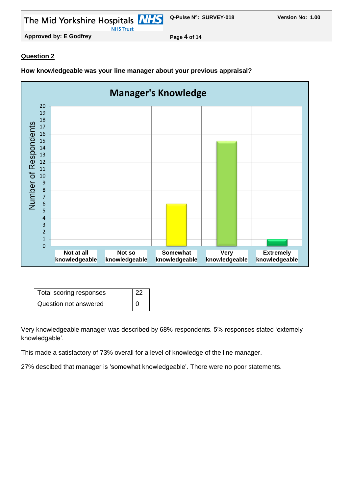The Mid Yorkshire Hospitals **NHS NHS Trust** 

**Approved by: E Godfrey Page 4 of 14**

#### **Question 2**

**Manager's Knowledge**  20 19 18 Number of Respondents Number of Respondents 17 16 15 14 13 12 11 10 9 8 7 6 5 4 3 2 1 0 **Not at all Not so Somewhat Very Extremely knowledgeable knowledgeable knowledgeable knowledgeable knowledgeable**

**How knowledgeable was your line manager about your previous appraisal?**

| Total scoring responses | 22       |
|-------------------------|----------|
| Question not answered   | $\Omega$ |

Very knowledgeable manager was described by 68% respondents. 5% responses stated 'extemely knowledgable'.

This made a satisfactory of 73% overall for a level of knowledge of the line manager.

27% descibed that manager is 'somewhat knowledgeable'. There were no poor statements.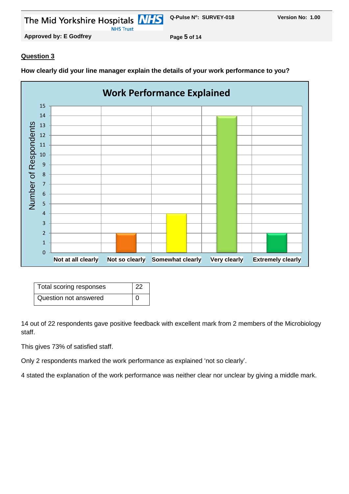The Mid Yorkshire Hospitals **NHS Q-Pulse N<sup>o</sup> NHS Trust** 

**Approved by: E Godfrey Page 5 of 14**

#### **Question 3**

**Work Performance Explained** 15 14 Number of Respondents Number of Respondents 13 12 11 10 9 8 7 6 5 4 3 2 1  $\overline{0}$ **Not at all clearly Not so clearly Somewhat clearly Very clearly Extremely clearly**

**How clearly did your line manager explain the details of your work performance to you?**

| Total scoring responses | -22 |
|-------------------------|-----|
| Question not answered   |     |

14 out of 22 respondents gave positive feedback with excellent mark from 2 members of the Microbiology staff.

This gives 73% of satisfied staff.

Only 2 respondents marked the work performance as explained 'not so clearly'.

4 stated the explanation of the work performance was neither clear nor unclear by giving a middle mark.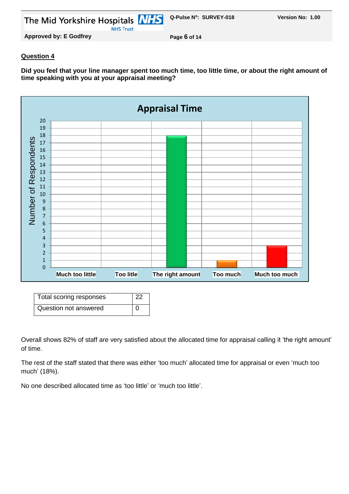The Mid Yorkshire Hospitals **NHS Q-Pulse N<sup>o</sup> : SURVEY-018 Version No: 1.00 NHS Trust** 

#### **Question 4**

**Did you feel that your line manager spent too much time, too little time, or about the right amount of time speaking with you at your appraisal meeting?**



| Total scoring responses | 22 |  |
|-------------------------|----|--|
| Question not answered   |    |  |

Overall shows 82% of staff are very satisfied about the allocated time for appraisal calling it 'the right amount' of time.

The rest of the staff stated that there was either 'too much' allocated time for appraisal or even 'much too much' (18%).

No one described allocated time as 'too little' or 'much too little'.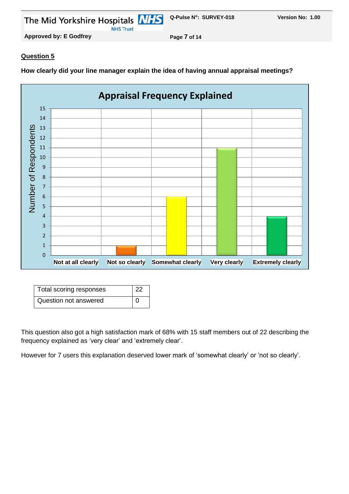The Mid Yorkshire Hospitals **NHS Q-Pulse N<sup>o</sup> NHS Trust** 

**Version No: 1.00** 

**Approved by: E Godfrey Page 7 of 14**

#### **Question 5**

**How clearly did your line manager explain the idea of having annual appraisal meetings?**



| Total scoring responses | 22 |
|-------------------------|----|
| Question not answered   |    |

This question also got a high satisfaction mark of 68% with 15 staff members out of 22 describing the frequency explained as 'very clear' and 'extremely clear'.

However for 7 users this explanation deserved lower mark of 'somewhat clearly' or 'not so clearly'.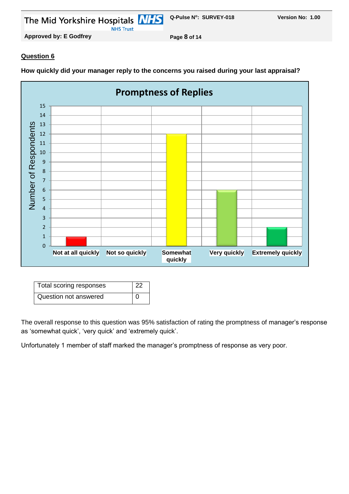The Mid Yorkshire Hospitals **NHS** 

**NHS Trust** 

**Approved by: E Godfrey Page 8 of 14**

#### **Question 6**

**Promptness of Replies** 15 14 Number of Respondents Number of Respondents 13 12 11 10 9 8 7 6 5 4 3 2 1 0 **Not at all quickly Not so quickly Somewhat Very quickly Extremely quickly quickly**

**How quickly did your manager reply to the concerns you raised during your last appraisal?**

| Total scoring responses | -22 |
|-------------------------|-----|
| Question not answered   | ∩   |

The overall response to this question was 95% satisfaction of rating the promptness of manager's response as 'somewhat quick', 'very quick' and 'extremely quick'.

Unfortunately 1 member of staff marked the manager's promptness of response as very poor.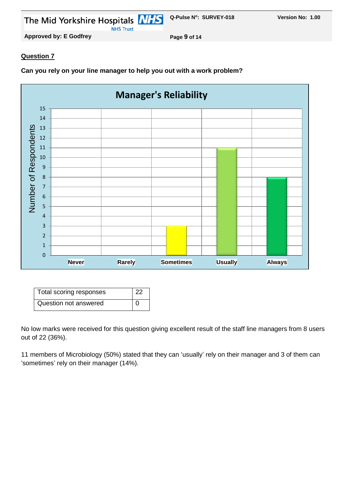

**Approved by: E Godfrey Page 9 of 14**

#### **Question 7**

**Can you rely on your line manager to help you out with a work problem?**



| Total scoring responses | 22 |
|-------------------------|----|
| Question not answered   |    |

No low marks were received for this question giving excellent result of the staff line managers from 8 users out of 22 (36%).

11 members of Microbiology (50%) stated that they can 'usually' rely on their manager and 3 of them can 'sometimes' rely on their manager (14%).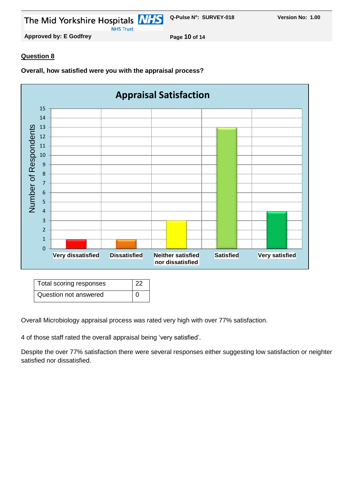

**Approved by: E Godfrey Page 10 of 14**

#### **Question 8**

**Overall, how satisfied were you with the appraisal process?**



| Total scoring responses | 22 |
|-------------------------|----|
| Question not answered   | ∩  |

Overall Microbiology appraisal process was rated very high with over 77% satisfaction.

4 of those staff rated the overall appraisal being 'very satisfied'.

Despite the over 77% satisfaction there were several responses either suggesting low satisfaction or neighter satisfied nor dissatisfied.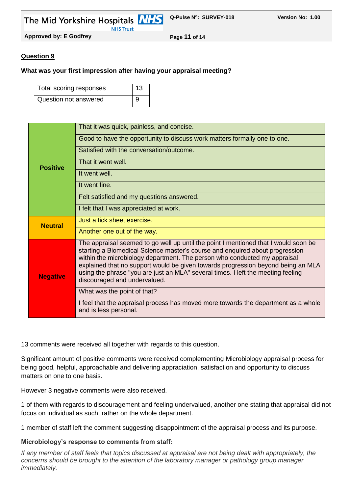The Mid Yorkshire Hospitals MHS **Q-Pulse N<sup>o</sup> : SURVEY-018 Version No: 1.00**

**Approved by: E Godfrey Page 11 of 14**

#### **Question 9**

#### **What was your first impression after having your appraisal meeting?**

**NHS Trust** 

| Total scoring responses | 13 |
|-------------------------|----|
| Question not answered   | 9  |

|                 | That it was quick, painless, and concise.                                                                                                                                                                                                                                                                                                                                                                                                                |
|-----------------|----------------------------------------------------------------------------------------------------------------------------------------------------------------------------------------------------------------------------------------------------------------------------------------------------------------------------------------------------------------------------------------------------------------------------------------------------------|
|                 | Good to have the opportunity to discuss work matters formally one to one.                                                                                                                                                                                                                                                                                                                                                                                |
|                 | Satisfied with the conversation/outcome.                                                                                                                                                                                                                                                                                                                                                                                                                 |
| <b>Positive</b> | That it went well.                                                                                                                                                                                                                                                                                                                                                                                                                                       |
|                 | It went well.                                                                                                                                                                                                                                                                                                                                                                                                                                            |
|                 | It went fine.                                                                                                                                                                                                                                                                                                                                                                                                                                            |
|                 | Felt satisfied and my questions answered.                                                                                                                                                                                                                                                                                                                                                                                                                |
|                 | I felt that I was appreciated at work.                                                                                                                                                                                                                                                                                                                                                                                                                   |
| <b>Neutral</b>  | Just a tick sheet exercise.                                                                                                                                                                                                                                                                                                                                                                                                                              |
|                 | Another one out of the way.                                                                                                                                                                                                                                                                                                                                                                                                                              |
| <b>Negative</b> | The appraisal seemed to go well up until the point I mentioned that I would soon be<br>starting a Biomedical Science master's course and enquired about progression<br>within the microbiology department. The person who conducted my appraisal<br>explained that no support would be given towards progression beyond being an MLA<br>using the phrase "you are just an MLA" several times. I left the meeting feeling<br>discouraged and undervalued. |
|                 | What was the point of that?                                                                                                                                                                                                                                                                                                                                                                                                                              |
|                 | I feel that the appraisal process has moved more towards the department as a whole<br>and is less personal.                                                                                                                                                                                                                                                                                                                                              |

13 comments were received all together with regards to this question.

Significant amount of positive comments were received complementing Microbiology appraisal process for being good, helpful, approachable and delivering appraciation, satisfaction and opportunity to discuss matters on one to one basis.

However 3 negative comments were also received.

1 of them with regards to discouragement and feeling undervalued, another one stating that appraisal did not focus on individual as such, rather on the whole department.

1 member of staff left the comment suggesting disappointment of the appraisal process and its purpose.

#### **Microbiology's response to comments from staff:**

*If any member of staff feels that topics discussed at appraisal are not being dealt with appropriately, the concerns should be brought to the attention of the laboratory manager or pathology group manager immediately.*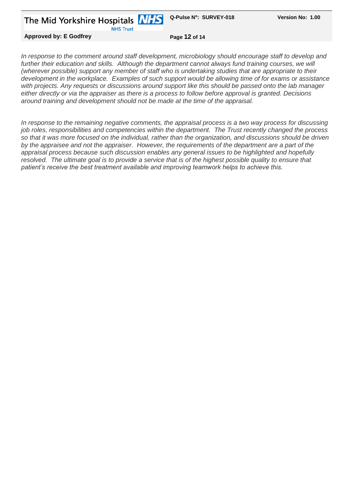The Mid Yorkshire Hospitals **NHS** 

**NHS Trust** 

**Approved by: E Godfrey Page 12 of 14**

*In response to the comment around staff development, microbiology should encourage staff to develop and*  further their education and skills. Although the department cannot always fund training courses, we will *(wherever possible) support any member of staff who is undertaking studies that are appropriate to their development in the workplace. Examples of such support would be allowing time of for exams or assistance with projects. Any requests or discussions around support like this should be passed onto the lab manager either directly or via the appraiser as there is a process to follow before approval is granted. Decisions around training and development should not be made at the time of the appraisal.*

*In response to the remaining negative comments, the appraisal process is a two way process for discussing job roles, responsibilities and competencies within the department. The Trust recently changed the process so that it was more focused on the individual, rather than the organization, and discussions should be driven by the appraisee and not the appraiser. However, the requirements of the department are a part of the appraisal process because such discussion enables any general issues to be highlighted and hopefully resolved. The ultimate goal is to provide a service that is of the highest possible quality to ensure that patient's receive the best treatment available and improving teamwork helps to achieve this.*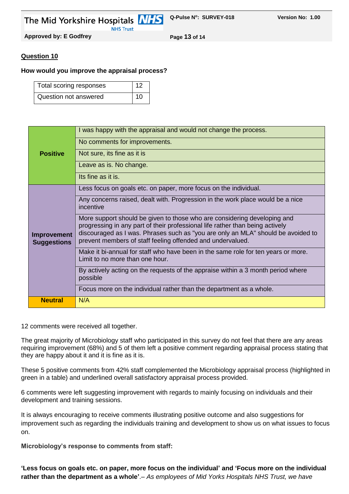The Mid Yorkshire Hospitals **NHS** 

**Q-Pulse N<sup>o</sup> : SURVEY-018 Version No: 1.00**

**Approved by: E Godfrey Page 13 of 14**

#### **Question 10**

#### **How would you improve the appraisal process?**

**NHS Trust** 

| Total scoring responses | 12 |  |
|-------------------------|----|--|
| Question not answered   | 10 |  |

|                                          | I was happy with the appraisal and would not change the process.                                                                                                                                                                                                                                            |
|------------------------------------------|-------------------------------------------------------------------------------------------------------------------------------------------------------------------------------------------------------------------------------------------------------------------------------------------------------------|
|                                          | No comments for improvements.                                                                                                                                                                                                                                                                               |
| <b>Positive</b>                          | Not sure, its fine as it is                                                                                                                                                                                                                                                                                 |
|                                          | Leave as is. No change.                                                                                                                                                                                                                                                                                     |
|                                          | Its fine as it is.                                                                                                                                                                                                                                                                                          |
|                                          | Less focus on goals etc. on paper, more focus on the individual.                                                                                                                                                                                                                                            |
| <b>Improvement</b><br><b>Suggestions</b> | Any concerns raised, dealt with. Progression in the work place would be a nice<br>incentive                                                                                                                                                                                                                 |
|                                          | More support should be given to those who are considering developing and<br>progressing in any part of their professional life rather than being actively<br>discouraged as I was. Phrases such as "you are only an MLA" should be avoided to<br>prevent members of staff feeling offended and undervalued. |
|                                          | Make it bi-annual for staff who have been in the same role for ten years or more.<br>Limit to no more than one hour.                                                                                                                                                                                        |
|                                          | By actively acting on the requests of the appraise within a 3 month period where<br>possible                                                                                                                                                                                                                |
|                                          | Focus more on the individual rather than the department as a whole.                                                                                                                                                                                                                                         |
| <b>Neutral</b>                           | N/A                                                                                                                                                                                                                                                                                                         |

12 comments were received all together.

The great majority of Microbiology staff who participated in this survey do not feel that there are any areas requiring improvement (68%) and 5 of them left a positive comment regarding appraisal process stating that they are happy about it and it is fine as it is.

These 5 positive comments from 42% staff complemented the Microbiology appraisal process (highlighted in green in a table) and underlined overall satisfactory appraisal process provided.

6 comments were left suggesting improvement with regards to mainly focusing on individuals and their development and training sessions.

It is always encouraging to receive comments illustrating positive outcome and also suggestions for improvement such as regarding the individuals training and development to show us on what issues to focus on.

**Microbiology's response to comments from staff:**

**'Less focus on goals etc. on paper, more focus on the individual' and 'Focus more on the individual rather than the department as a whole'**.– *As employees of Mid Yorks Hospitals NHS Trust, we have*